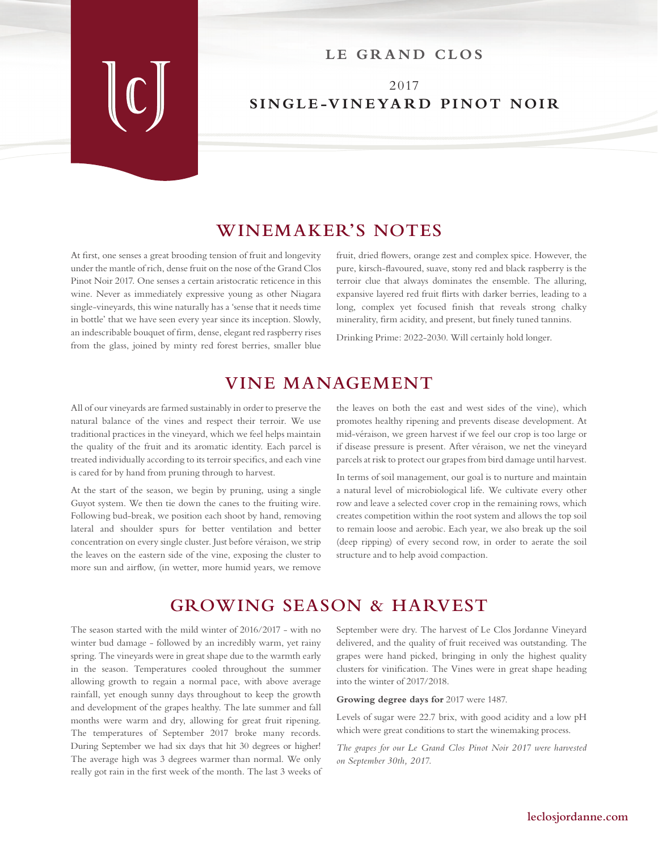#### LE GRAND CLOS

## 2017 **SINGLE-VINEYARD PINOT NOIR**

### **WINEMAKER'S NOTES**

At first, one senses a great brooding tension of fruit and longevity under the mantle of rich, dense fruit on the nose of the Grand Clos Pinot Noir 2017. One senses a certain aristocratic reticence in this wine. Never as immediately expressive young as other Niagara single-vineyards, this wine naturally has a 'sense that it needs time in bottle' that we have seen every year since its inception. Slowly, an indescribable bouquet of firm, dense, elegant red raspberry rises from the glass, joined by minty red forest berries, smaller blue

fruit, dried flowers, orange zest and complex spice. However, the pure, kirsch-flavoured, suave, stony red and black raspberry is the terroir clue that always dominates the ensemble. The alluring, expansive layered red fruit flirts with darker berries, leading to a long, complex yet focused finish that reveals strong chalky minerality, firm acidity, and present, but finely tuned tannins.

Drinking Prime: 2022-2030. Will certainly hold longer.

# **VINE MANAGEMENT**

All of our vineyards are farmed sustainably in order to preserve the natural balance of the vines and respect their terroir. We use traditional practices in the vineyard, which we feel helps maintain the quality of the fruit and its aromatic identity. Each parcel is treated individually according to its terroir specifics, and each vine is cared for by hand from pruning through to harvest.

At the start of the season, we begin by pruning, using a single Guyot system. We then tie down the canes to the fruiting wire. Following bud-break, we position each shoot by hand, removing lateral and shoulder spurs for better ventilation and better concentration on every single cluster. Just before véraison, we strip the leaves on the eastern side of the vine, exposing the cluster to more sun and airflow, (in wetter, more humid years, we remove

the leaves on both the east and west sides of the vine), which promotes healthy ripening and prevents disease development. At mid-véraison, we green harvest if we feel our crop is too large or if disease pressure is present. After véraison, we net the vineyard parcels at risk to protect our grapes from bird damage until harvest.

In terms of soil management, our goal is to nurture and maintain a natural level of microbiological life. We cultivate every other row and leave a selected cover crop in the remaining rows, which creates competition within the root system and allows the top soil to remain loose and aerobic. Each year, we also break up the soil (deep ripping) of every second row, in order to aerate the soil structure and to help avoid compaction.

## **GROWING SEASON & HARVEST**

The season started with the mild winter of 2016/2017 - with no winter bud damage - followed by an incredibly warm, yet rainy spring. The vineyards were in great shape due to the warmth early in the season. Temperatures cooled throughout the summer allowing growth to regain a normal pace, with above average rainfall, yet enough sunny days throughout to keep the growth and development of the grapes healthy. The late summer and fall months were warm and dry, allowing for great fruit ripening. The temperatures of September 2017 broke many records. During September we had six days that hit 30 degrees or higher! The average high was 3 degrees warmer than normal. We only really got rain in the first week of the month. The last 3 weeks of September were dry. The harvest of Le Clos Jordanne Vineyard delivered, and the quality of fruit received was outstanding. The grapes were hand picked, bringing in only the highest quality clusters for vinification. The Vines were in great shape heading into the winter of 2017/2018.

**Growing degree days for** 2017 were 1487.

Levels of sugar were 22.7 brix, with good acidity and a low pH which were great conditions to start the winemaking process.

*The grapes for our Le Grand Clos Pinot Noir 2017 were harvested on September 30th, 2017.*